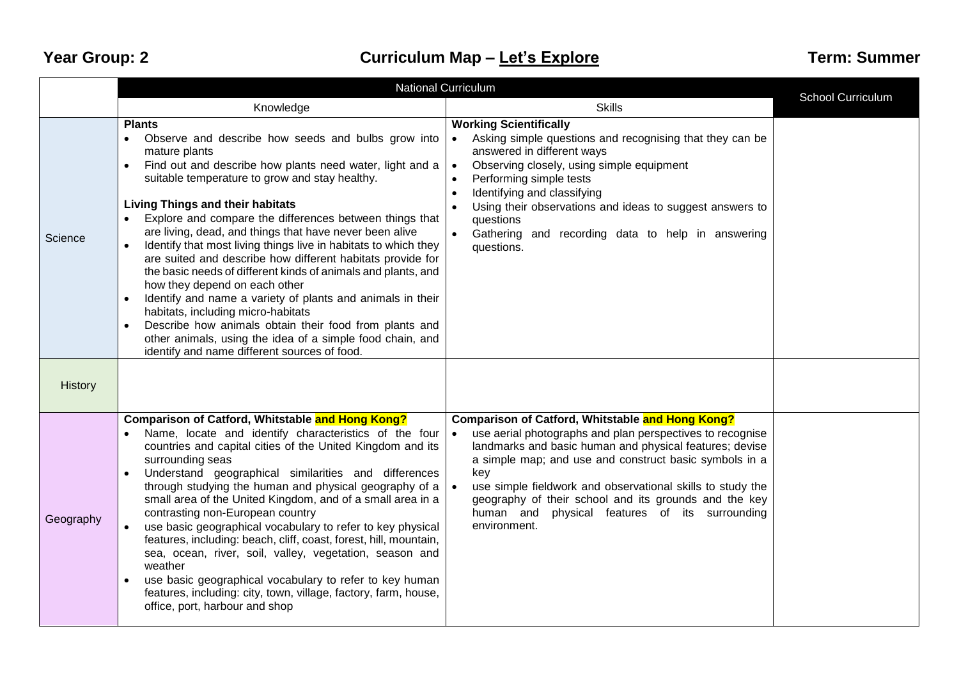## **Year Group: 2 Curriculum Map – Let's Explore Term: Summer**

|           | <b>National Curriculum</b>                                                                                                                                                                                                                                                                                                                                                                                                                                                                                                                                                                                                                                                                                                                                                                                                                                                                                  |                                                                                                                                                                                                                                                                                                                                                                                                                                                    |                   |  |
|-----------|-------------------------------------------------------------------------------------------------------------------------------------------------------------------------------------------------------------------------------------------------------------------------------------------------------------------------------------------------------------------------------------------------------------------------------------------------------------------------------------------------------------------------------------------------------------------------------------------------------------------------------------------------------------------------------------------------------------------------------------------------------------------------------------------------------------------------------------------------------------------------------------------------------------|----------------------------------------------------------------------------------------------------------------------------------------------------------------------------------------------------------------------------------------------------------------------------------------------------------------------------------------------------------------------------------------------------------------------------------------------------|-------------------|--|
|           | Knowledge                                                                                                                                                                                                                                                                                                                                                                                                                                                                                                                                                                                                                                                                                                                                                                                                                                                                                                   | <b>Skills</b>                                                                                                                                                                                                                                                                                                                                                                                                                                      | School Curriculum |  |
| Science   | <b>Plants</b><br>Observe and describe how seeds and bulbs grow into<br>$\bullet$<br>mature plants<br>Find out and describe how plants need water, light and a<br>suitable temperature to grow and stay healthy.<br><b>Living Things and their habitats</b><br>Explore and compare the differences between things that<br>are living, dead, and things that have never been alive<br>Identify that most living things live in habitats to which they<br>are suited and describe how different habitats provide for<br>the basic needs of different kinds of animals and plants, and<br>how they depend on each other<br>Identify and name a variety of plants and animals in their<br>$\bullet$<br>habitats, including micro-habitats<br>Describe how animals obtain their food from plants and<br>other animals, using the idea of a simple food chain, and<br>identify and name different sources of food. | <b>Working Scientifically</b><br>Asking simple questions and recognising that they can be<br>answered in different ways<br>Observing closely, using simple equipment<br>$\bullet$<br>Performing simple tests<br>Identifying and classifying<br>Using their observations and ideas to suggest answers to<br>questions<br>$\bullet$<br>Gathering and recording data to help in answering<br>questions.                                               |                   |  |
| History   |                                                                                                                                                                                                                                                                                                                                                                                                                                                                                                                                                                                                                                                                                                                                                                                                                                                                                                             |                                                                                                                                                                                                                                                                                                                                                                                                                                                    |                   |  |
| Geography | <b>Comparison of Catford, Whitstable and Hong Kong?</b><br>Name, locate and identify characteristics of the four<br>countries and capital cities of the United Kingdom and its<br>surrounding seas<br>Understand geographical similarities and differences<br>$\bullet$<br>through studying the human and physical geography of a<br>small area of the United Kingdom, and of a small area in a<br>contrasting non-European country<br>use basic geographical vocabulary to refer to key physical<br>features, including: beach, cliff, coast, forest, hill, mountain,<br>sea, ocean, river, soil, valley, vegetation, season and<br>weather<br>use basic geographical vocabulary to refer to key human<br>features, including: city, town, village, factory, farm, house,<br>office, port, harbour and shop                                                                                                | Comparison of Catford, Whitstable and Hong Kong?<br>use aerial photographs and plan perspectives to recognise<br>$\bullet$<br>landmarks and basic human and physical features; devise<br>a simple map; and use and construct basic symbols in a<br>key<br>use simple fieldwork and observational skills to study the<br>geography of their school and its grounds and the key<br>physical features of its surrounding<br>human and<br>environment. |                   |  |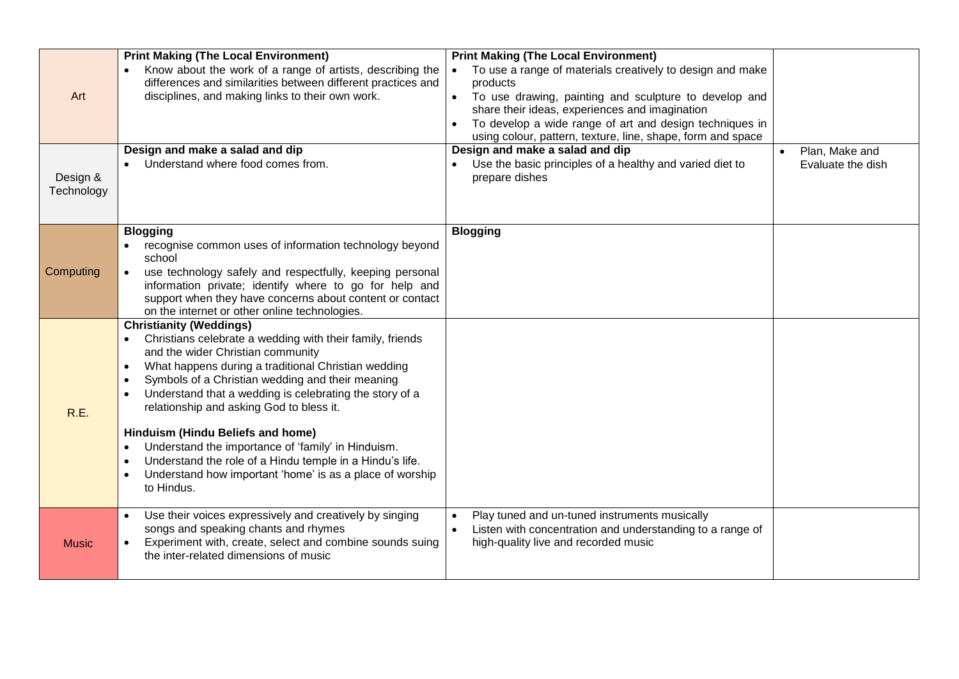| Art<br>Design &<br>Technology | <b>Print Making (The Local Environment)</b><br>Know about the work of a range of artists, describing the<br>differences and similarities between different practices and<br>disciplines, and making links to their own work.<br>Design and make a salad and dip<br>Understand where food comes from.                                                                                                                                                                                                                                                                                                                                                 | <b>Print Making (The Local Environment)</b><br>To use a range of materials creatively to design and make<br>products<br>To use drawing, painting and sculpture to develop and<br>share their ideas, experiences and imagination<br>To develop a wide range of art and design techniques in<br>using colour, pattern, texture, line, shape, form and space<br>Design and make a salad and dip<br>Use the basic principles of a healthy and varied diet to<br>prepare dishes | Plan, Make and<br>Evaluate the dish |
|-------------------------------|------------------------------------------------------------------------------------------------------------------------------------------------------------------------------------------------------------------------------------------------------------------------------------------------------------------------------------------------------------------------------------------------------------------------------------------------------------------------------------------------------------------------------------------------------------------------------------------------------------------------------------------------------|----------------------------------------------------------------------------------------------------------------------------------------------------------------------------------------------------------------------------------------------------------------------------------------------------------------------------------------------------------------------------------------------------------------------------------------------------------------------------|-------------------------------------|
| Computing                     | <b>Blogging</b><br>recognise common uses of information technology beyond<br>school<br>use technology safely and respectfully, keeping personal<br>information private; identify where to go for help and<br>support when they have concerns about content or contact<br>on the internet or other online technologies.                                                                                                                                                                                                                                                                                                                               | <b>Blogging</b>                                                                                                                                                                                                                                                                                                                                                                                                                                                            |                                     |
| R.E.                          | <b>Christianity (Weddings)</b><br>Christians celebrate a wedding with their family, friends<br>and the wider Christian community<br>What happens during a traditional Christian wedding<br>$\bullet$<br>Symbols of a Christian wedding and their meaning<br>$\bullet$<br>Understand that a wedding is celebrating the story of a<br>$\bullet$<br>relationship and asking God to bless it.<br>Hinduism (Hindu Beliefs and home)<br>Understand the importance of 'family' in Hinduism.<br>Understand the role of a Hindu temple in a Hindu's life.<br>$\bullet$<br>Understand how important 'home' is as a place of worship<br>$\bullet$<br>to Hindus. |                                                                                                                                                                                                                                                                                                                                                                                                                                                                            |                                     |
| <b>Music</b>                  | Use their voices expressively and creatively by singing<br>$\bullet$<br>songs and speaking chants and rhymes<br>Experiment with, create, select and combine sounds suing<br>the inter-related dimensions of music                                                                                                                                                                                                                                                                                                                                                                                                                                    | Play tuned and un-tuned instruments musically<br>Listen with concentration and understanding to a range of<br>high-quality live and recorded music                                                                                                                                                                                                                                                                                                                         |                                     |